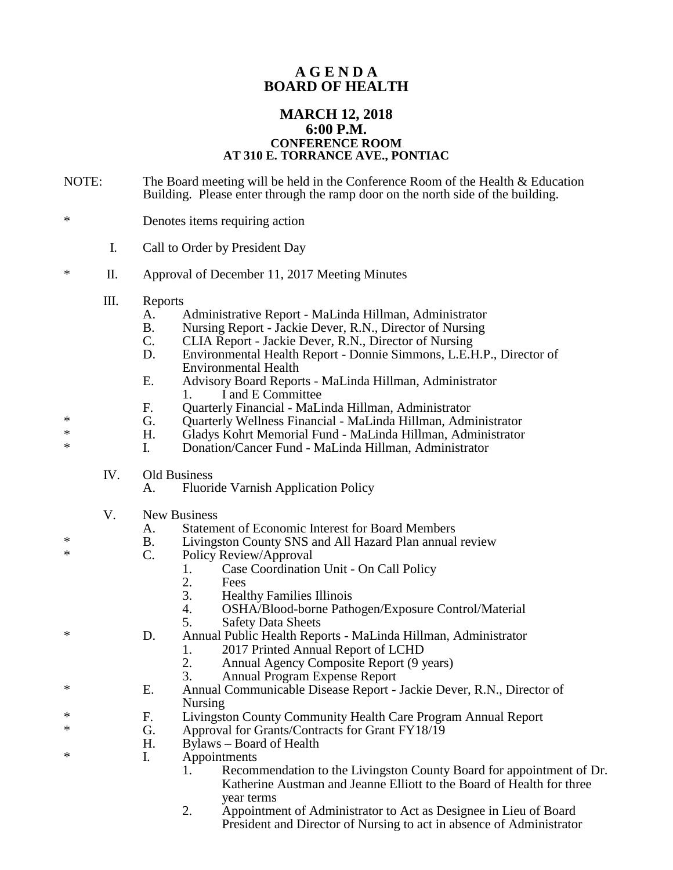## **A G E N D A BOARD OF HEALTH**

## **MARCH 12, 2018 6:00 P.M. CONFERENCE ROOM AT 310 E. TORRANCE AVE., PONTIAC**

- NOTE: The Board meeting will be held in the Conference Room of the Health & Education Building. Please enter through the ramp door on the north side of the building.
- \* Denotes items requiring action
	- I. Call to Order by President Day
- \* II. Approval of December 11, 2017 Meeting Minutes
	- III. Reports
		- A. Administrative Report MaLinda Hillman, Administrator
		- B. Nursing Report Jackie Dever, R.N., Director of Nursing<br>C. CLIA Report Jackie Dever, R.N., Director of Nursing
		- CLIA Report Jackie Dever, R.N., Director of Nursing
		- D. Environmental Health Report Donnie Simmons, L.E.H.P., Director of Environmental Health
		- E. Advisory Board Reports MaLinda Hillman, Administrator 1. I and E Committee
		- F. Quarterly Financial MaLinda Hillman, Administrator
- \* G. Quarterly Wellness Financial MaLinda Hillman, Administrator
- \* H. Gladys Kohrt Memorial Fund MaLinda Hillman, Administrator
	- I. Donation/Cancer Fund MaLinda Hillman, Administrator
		- IV. Old Business
			- A. Fluoride Varnish Application Policy
		- V. New Business
			- A. Statement of Economic Interest for Board Members
- \* B. Livingston County SNS and All Hazard Plan annual review<br>
\* C. Policy Review/Approval
	- Policy Review/Approval
		- 1. Case Coordination Unit On Call Policy<br>2. Fees
		- 2. Fees<br>3. Healt
		- 3. Healthy Families Illinois
		- 4. OSHA/Blood-borne Pathogen/Exposure Control/Material
		- 5. Safety Data Sheets
- \* D. Annual Public Health Reports MaLinda Hillman, Administrator
	- 1. 2017 Printed Annual Report of LCHD
	- 2. Annual Agency Composite Report (9 years)<br>3. Annual Program Expense Report
		- 3. Annual Program Expense Report
- \* E. Annual Communicable Disease Report Jackie Dever, R.N., Director of Nursing
- \* F. Livingston County Community Health Care Program Annual Report<br>Annual School of Create Contracts for Creat EX19/10
- G. Approval for Grants/Contracts for Grant FY18/19
- H. Bylaws Board of Health
- \* I. Appointments
	- 1. Recommendation to the Livingston County Board for appointment of Dr. Katherine Austman and Jeanne Elliott to the Board of Health for three year terms
	- 2. Appointment of Administrator to Act as Designee in Lieu of Board President and Director of Nursing to act in absence of Administrator